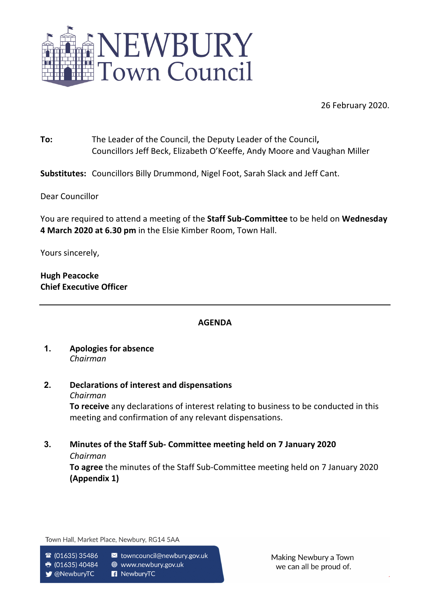

26 February 2020.

**To:** The Leader of the Council, the Deputy Leader of the Council**,**  Councillors Jeff Beck, Elizabeth O'Keeffe, Andy Moore and Vaughan Miller

**Substitutes:** Councillors Billy Drummond, Nigel Foot, Sarah Slack and Jeff Cant.

Dear Councillor

You are required to attend a meeting of the **Staff Sub-Committee** to be held on **Wednesday 4 March 2020 at 6.30 pm** in the Elsie Kimber Room, Town Hall.

Yours sincerely,

**Hugh Peacocke Chief Executive Officer**

### **AGENDA**

- **1. Apologies for absence** *Chairman*
- **2. Declarations of interest and dispensations** *Chairman*

**To receive** any declarations of interest relating to business to be conducted in this meeting and confirmation of any relevant dispensations.

**3. Minutes of the Staff Sub- Committee meeting held on 7 January 2020**

#### *Chairman*

**To agree** the minutes of the Staff Sub-Committee meeting held on 7 January 2020 **(Appendix 1)**

Town Hall, Market Place, Newbury, RG14 5AA

- $\circ$  (01635) 35486
	- towncouncil@newbury.gov.uk
- $\ddot{\mathbf{r}}$  (01635) 40484 **●** www.newbury.gov.uk R NewburyTC

**V** @NewburyTC

Making Newbury a Town we can all be proud of.